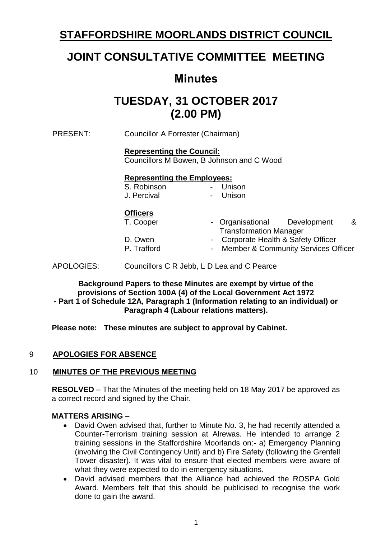## **STAFFORDSHIRE MOORLANDS DISTRICT COUNCIL**

## **JOINT CONSULTATIVE COMMITTEE MEETING**

## **Minutes**

# **TUESDAY, 31 OCTOBER 2017 (2.00 PM)**

PRESENT: Councillor A Forrester (Chairman)

### **Representing the Council:**

Councillors M Bowen, B Johnson and C Wood

#### **Representing the Employees:** - Unison

| S. Robinson |  |
|-------------|--|
| J. Percival |  |

## **Officers**

| T. Cooper   | - Organisational                      | Development | & |
|-------------|---------------------------------------|-------------|---|
|             | <b>Transformation Manager</b>         |             |   |
| D. Owen     | - Corporate Health & Safety Officer   |             |   |
| P. Trafford | - Member & Community Services Officer |             |   |

- Unison

APOLOGIES: Councillors C R Jebb, L D Lea and C Pearce

**Background Papers to these Minutes are exempt by virtue of the provisions of Section 100A (4) of the Local Government Act 1972 - Part 1 of Schedule 12A, Paragraph 1 (Information relating to an individual) or Paragraph 4 (Labour relations matters).**

**Please note: These minutes are subject to approval by Cabinet.**

## 9 **APOLOGIES FOR ABSENCE**

## 10 **MINUTES OF THE PREVIOUS MEETING**

**RESOLVED** – That the Minutes of the meeting held on 18 May 2017 be approved as a correct record and signed by the Chair.

#### **MATTERS ARISING** –

- David Owen advised that, further to Minute No. 3, he had recently attended a Counter-Terrorism training session at Alrewas. He intended to arrange 2 training sessions in the Staffordshire Moorlands on:- a) Emergency Planning (involving the Civil Contingency Unit) and b) Fire Safety (following the Grenfell Tower disaster). It was vital to ensure that elected members were aware of what they were expected to do in emergency situations.
- David advised members that the Alliance had achieved the ROSPA Gold Award. Members felt that this should be publicised to recognise the work done to gain the award.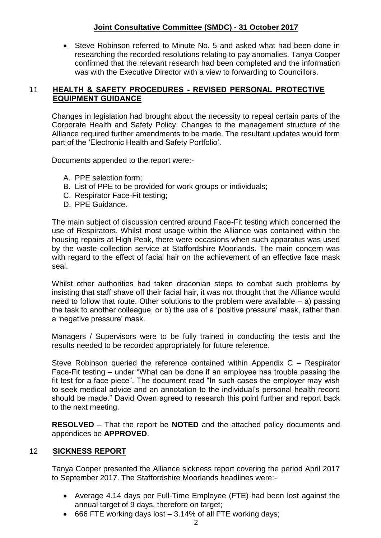## **Joint Consultative Committee (SMDC) - 31 October 2017**

 Steve Robinson referred to Minute No. 5 and asked what had been done in researching the recorded resolutions relating to pay anomalies. Tanya Cooper confirmed that the relevant research had been completed and the information was with the Executive Director with a view to forwarding to Councillors.

### 11 **HEALTH & SAFETY PROCEDURES - REVISED PERSONAL PROTECTIVE EQUIPMENT GUIDANCE**

Changes in legislation had brought about the necessity to repeal certain parts of the Corporate Health and Safety Policy. Changes to the management structure of the Alliance required further amendments to be made. The resultant updates would form part of the 'Electronic Health and Safety Portfolio'.

Documents appended to the report were:-

- A. PPE selection form;
- B. List of PPE to be provided for work groups or individuals;
- C. Respirator Face-Fit testing;
- D. PPE Guidance.

The main subject of discussion centred around Face-Fit testing which concerned the use of Respirators. Whilst most usage within the Alliance was contained within the housing repairs at High Peak, there were occasions when such apparatus was used by the waste collection service at Staffordshire Moorlands. The main concern was with regard to the effect of facial hair on the achievement of an effective face mask seal.

Whilst other authorities had taken draconian steps to combat such problems by insisting that staff shave off their facial hair, it was not thought that the Alliance would need to follow that route. Other solutions to the problem were available  $-$  a) passing the task to another colleague, or b) the use of a 'positive pressure' mask, rather than a 'negative pressure' mask.

Managers / Supervisors were to be fully trained in conducting the tests and the results needed to be recorded appropriately for future reference.

Steve Robinson queried the reference contained within Appendix C – Respirator Face-Fit testing – under "What can be done if an employee has trouble passing the fit test for a face piece". The document read "In such cases the employer may wish to seek medical advice and an annotation to the individual's personal health record should be made." David Owen agreed to research this point further and report back to the next meeting.

**RESOLVED** – That the report be **NOTED** and the attached policy documents and appendices be **APPROVED**.

#### 12 **SICKNESS REPORT**

Tanya Cooper presented the Alliance sickness report covering the period April 2017 to September 2017. The Staffordshire Moorlands headlines were:-

- Average 4.14 days per Full-Time Employee (FTE) had been lost against the annual target of 9 days, therefore on target;
- $\bullet$  666 FTE working days lost  $-3.14\%$  of all FTE working days;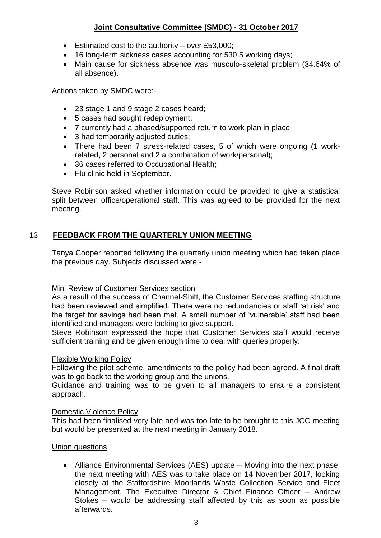## **Joint Consultative Committee (SMDC) - 31 October 2017**

- Estimated cost to the authority over £53,000;
- 16 long-term sickness cases accounting for 530.5 working days;
- Main cause for sickness absence was musculo-skeletal problem (34.64% of all absence).

Actions taken by SMDC were:-

- 23 stage 1 and 9 stage 2 cases heard;
- 5 cases had sought redeployment:
- 7 currently had a phased/supported return to work plan in place;
- 3 had temporarily adjusted duties;
- There had been 7 stress-related cases, 5 of which were ongoing (1 workrelated, 2 personal and 2 a combination of work/personal);
- 36 cases referred to Occupational Health;
- Flu clinic held in September.

Steve Robinson asked whether information could be provided to give a statistical split between office/operational staff. This was agreed to be provided for the next meeting.

## 13 **FEEDBACK FROM THE QUARTERLY UNION MEETING**

Tanya Cooper reported following the quarterly union meeting which had taken place the previous day. Subjects discussed were:-

#### Mini Review of Customer Services section

As a result of the success of Channel-Shift, the Customer Services staffing structure had been reviewed and simplified. There were no redundancies or staff 'at risk' and the target for savings had been met. A small number of 'vulnerable' staff had been identified and managers were looking to give support.

Steve Robinson expressed the hope that Customer Services staff would receive sufficient training and be given enough time to deal with queries properly.

#### Flexible Working Policy

Following the pilot scheme, amendments to the policy had been agreed. A final draft was to go back to the working group and the unions.

Guidance and training was to be given to all managers to ensure a consistent approach.

#### Domestic Violence Policy

This had been finalised very late and was too late to be brought to this JCC meeting but would be presented at the next meeting in January 2018.

#### Union questions

 Alliance Environmental Services (AES) update – Moving into the next phase, the next meeting with AES was to take place on 14 November 2017, looking closely at the Staffordshire Moorlands Waste Collection Service and Fleet Management. The Executive Director & Chief Finance Officer – Andrew Stokes – would be addressing staff affected by this as soon as possible afterwards.